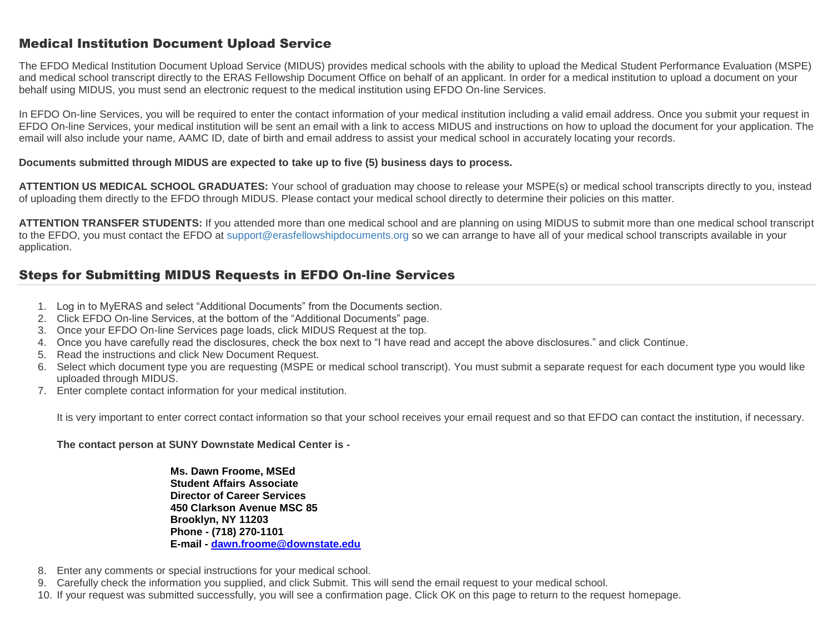## Medical Institution Document Upload Service

The EFDO Medical Institution Document Upload Service (MIDUS) provides medical schools with the ability to upload the Medical Student Performance Evaluation (MSPE) and medical school transcript directly to the ERAS Fellowship Document Office on behalf of an applicant. In order for a medical institution to upload a document on your behalf using MIDUS, you must send an electronic request to the medical institution using EFDO On-line Services.

In EFDO On-line Services, you will be required to enter the contact information of your medical institution including a valid email address. Once you submit your request in EFDO On-line Services, your medical institution will be sent an email with a link to access MIDUS and instructions on how to upload the document for your application. The email will also include your name, AAMC ID, date of birth and email address to assist your medical school in accurately locating your records.

#### **Documents submitted through MIDUS are expected to take up to five (5) business days to process.**

**ATTENTION US MEDICAL SCHOOL GRADUATES:** Your school of graduation may choose to release your MSPE(s) or medical school transcripts directly to you, instead of uploading them directly to the EFDO through MIDUS. Please contact your medical school directly to determine their policies on this matter.

**ATTENTION TRANSFER STUDENTS:** If you attended more than one medical school and are planning on using MIDUS to submit more than one medical school transcript to the EFDO, you must contact the EFDO at [support@erasfellowshipdocuments.org](mailto:support@erasfellowshipdocuments.org) so we can arrange to have all of your medical school transcripts available in your application.

### Steps for Submitting MIDUS Requests in EFDO On-line Services

- 1. Log in to MyERAS and select "Additional Documents" from the Documents section.
- 2. Click EFDO On-line Services, at the bottom of the "Additional Documents" page.
- 3. Once your EFDO On-line Services page loads, click MIDUS Request at the top.
- 4. Once you have carefully read the disclosures, check the box next to "I have read and accept the above disclosures." and click Continue.
- 5. Read the instructions and click New Document Request.
- 6. Select which document type you are requesting (MSPE or medical school transcript). You must submit a separate request for each document type you would like uploaded through MIDUS.
- 7. Enter complete contact information for your medical institution.

It is very important to enter correct contact information so that your school receives your email request and so that EFDO can contact the institution, if necessary.

#### **The contact person at SUNY Downstate Medical Center is -**

**Ms. Dawn Froome, MSEd Student Affairs Associate Director of Career Services 450 Clarkson Avenue MSC 85 Brooklyn, NY 11203 Phone - (718) 270-1101 E-mail - dawn.froome@downstate.edu**

- 8. Enter any comments or special instructions for your medical school.
- 9. Carefully check the information you supplied, and click Submit. This will send the email request to your medical school.
- 10. If your request was submitted successfully, you will see a confirmation page. Click OK on this page to return to the request homepage.